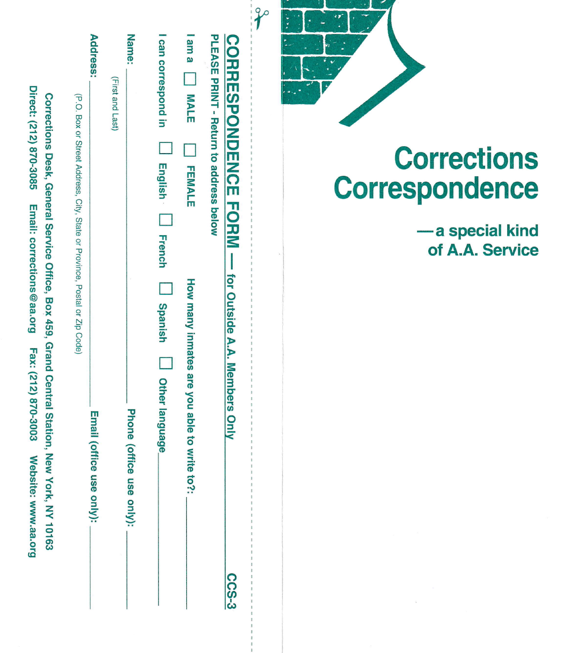|                 | CORRESPONDENCE FORM - For Outside A.A. Members Only<br><b>PLEASE PRINT - Return to address below</b>                                                                       | <b>C-SO2</b>   |
|-----------------|----------------------------------------------------------------------------------------------------------------------------------------------------------------------------|----------------|
|                 | lama     MALE<br><b>FEMALE</b><br>How many inmates are you able to write<br>$-25$                                                                                          |                |
|                 | I can correspond in<br>Lugisty Lugisty French<br><b>Langerish</b><br>Dther language                                                                                        |                |
| <b>Name:</b>    | (First and Last)<br><b>Phone (office</b><br>use only):                                                                                                                     |                |
| <b>Address:</b> | <b>Email (office</b><br>use only):                                                                                                                                         |                |
|                 | (P.O. Box or Street Address, City, State or Province, Postal or Zip Code)                                                                                                  |                |
|                 | Direct: (212) 870-3085 Email: corrections @aa ora Eax: (212) 870-3003 Website: www.aa.oro<br>Corrections Desk, General Service Office, Box 459, Grand Central Station, New | York, NY 10163 |



 $\mathcal{P}$ 

## **Corrections** Correspondence

-a special kind of A.A. Service